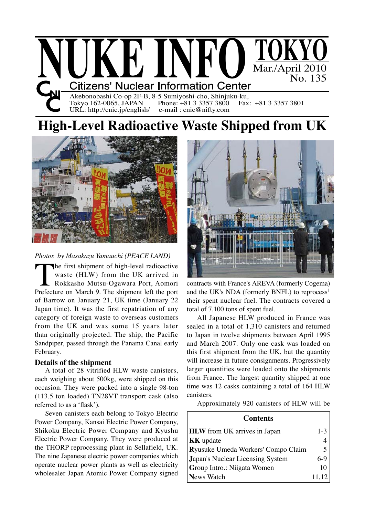

Akebonobashi Co-op 2F-B, 8-5 Sumiyoshi-cho, Shinjuku-ku,<br>Tokyo 162-0065, JAPAN Phone: +81 3 3357 3800 Fax: +81 3 3357 3801 Tokyo 162-0065, JAPAN Phone: +81 3 3357 3800<br>URL: http://cnic.jp/english/ e-mail : cnic@nifty.com URL: http://cnic.jp/english/

# **High-Level Radioactive Waste Shipped from UK**



## *Photos by Masakazu Yamauchi (PEACE LAND)*

The first shipment of high-level radioactive<br>waste (HLW) from the UK arrived in<br>Rokkasho Mutsu-Ogawara Port, Aomori<br>Prefecture on March 9. The shipment left the port waste (HLW) from the UK arrived in Rokkasho Mutsu-Ogawara Port, Aomori Prefecture on March 9. The shipment left the port of Barrow on January 21, UK time (January 22 Japan time). It was the first repatriation of any category of foreign waste to overseas customers from the UK and was some 15 years later than originally projected. The ship, the Pacific Sandpiper, passed through the Panama Canal early February.

## **Details of the shipment**

A total of 28 vitrified HLW waste canisters, each weighing about 500kg, were shipped on this occasion. They were packed into a single 98-ton (113.5 ton loaded) TN28VT transport cask (also referred to as a 'flask').

Seven canisters each belong to Tokyo Electric Power Company, Kansai Electric Power Company, Shikoku Electric Power Company and Kyushu Electric Power Company. They were produced at the THORP reprocessing plant in Sellafield, UK. The nine Japanese electric power companies which operate nuclear power plants as well as electricity wholesaler Japan Atomic Power Company signed



contracts with France's AREVA (formerly Cogema) and the UK's NDA (formerly BNFL) to reprocess<sup>1</sup> their spent nuclear fuel. The contracts covered a total of 7,100 tons of spent fuel.

All Japanese HLW produced in France was sealed in a total of 1,310 canisters and returned to Japan in twelve shipments between April 1995 and March 2007. Only one cask was loaded on this first shipment from the UK, but the quantity will increase in future consignments. Progressively larger quantities were loaded onto the shipments from France. The largest quantity shipped at one time was 12 casks containing a total of 164 HLW canisters.

Approximately 920 canisters of HLW will be

| <b>Contents</b>                     |       |
|-------------------------------------|-------|
| <b>HLW</b> from UK arrives in Japan | $1-3$ |
| <b>KK</b> update                    |       |
| Ryusuke Umeda Workers' Compo Claim  |       |
| Japan's Nuclear Licensing System    | $6-9$ |
| Group Intro.: Niigata Women         |       |
| <b>News Watch</b>                   | 11,12 |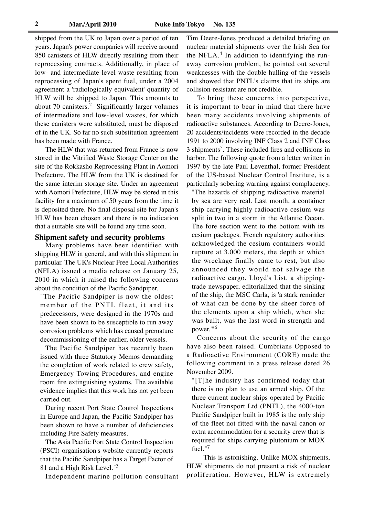shipped from the UK to Japan over a period of ten years. Japan's power companies will receive around 850 canisters of HLW directly resulting from their reprocessing contracts. Additionally, in place of low- and intermediate-level waste resulting from reprocessing of Japan's spent fuel, under a 2004 agreement a 'radiologically equivalent' quantity of HLW will be shipped to Japan. This amounts to about 70 canisters.2 Significantly larger volumes of intermediate and low-level wastes, for which these canisters were substituted, must be disposed of in the UK. So far no such substitution agreement has been made with France.

The HLW that was returned from France is now stored in the Vitrified Waste Storage Center on the site of the Rokkasho Reprocessing Plant in Aomori Prefecture. The HLW from the UK is destined for the same interim storage site. Under an agreement with Aomori Prefecture, HLW may be stored in this facility for a maximum of 50 years from the time it is deposited there. No final disposal site for Japan's HLW has been chosen and there is no indication that a suitable site will be found any time soon.

#### **Shipment safety and security problems**

Many problems have been identified with shipping HLW in general, and with this shipment in particular. The UK's Nuclear Free Local Authorities (NFLA) issued a media release on January 25, 2010 in which it raised the following concerns about the condition of the Pacific Sandpiper.

"The Pacific Sandpiper is now the oldest member of the PNTL fleet, it and its predecessors, were designed in the 1970s and have been shown to be susceptible to run away corrosion problems which has caused premature decommissioning of the earlier, older vessels.

The Pacific Sandpiper has recently been issued with three Statutory Memos demanding the completion of work related to crew safety, Emergency Towing Procedures, and engine room fire extinguishing systems. The available evidence implies that this work has not yet been carried out.

During recent Port State Control Inspections in Europe and Japan, the Pacific Sandpiper has been shown to have a number of deficiencies including Fire Safety measures.

The Asia Pacific Port State Control Inspection (PSCI) organisation's website currently reports that the Pacific Sandpiper has a Target Factor of 81 and a High Risk Level."<sup>3</sup>

Independent marine pollution consultant

Tim Deere-Jones produced a detailed briefing on nuclear material shipments over the Irish Sea for the NFLA. $4$  In addition to identifying the runaway corrosion problem, he pointed out several weaknesses with the double hulling of the vessels and showed that PNTL's claims that its ships are collision-resistant are not credible.

To bring these concerns into perspective, it is important to bear in mind that there have been many accidents involving shipments of radioactive substances. According to Deere-Jones, 20 accidents/incidents were recorded in the decade 1991 to 2000 involving INF Class 2 and INF Class 3 shipments<sup>5</sup>. These included fires and collisions in harbor. The following quote from a letter written in 1997 by the late Paul Leventhal, former President of the US-based Nuclear Control Institute, is a particularly sobering warning against complacency.

"The hazards of shipping radioactive material by sea are very real. Last month, a container ship carrying highly radioactive cesium was split in two in a storm in the Atlantic Ocean. The fore section went to the bottom with its cesium packages. French regulatory authorities acknowledged the cesium containers would rupture at 3,000 meters, the depth at which the wreckage finally came to rest, but also announced they would not salvage the radioactive cargo. Lloyd's List, a shippingtrade newspaper, editorialized that the sinking of the ship, the MSC Carla, is 'a stark reminder of what can be done by the sheer force of the elements upon a ship which, when she was built, was the last word in strength and power.'"<sup>6</sup>

Concerns about the security of the cargo have also been raised. Cumbrians Opposed to a Radioactive Environment (CORE) made the following comment in a press release dated 26 November 2009.

"[T]he industry has confirmed today that there is no plan to use an armed ship. Of the three current nuclear ships operated by Pacific Nuclear Transport Ltd (PNTL), the 4000-ton Pacific Sandpiper built in 1985 is the only ship of the fleet not fitted with the naval canon or extra accommodation for a security crew that is required for ships carrying plutonium or MOX fuel."7

 This is astonishing. Unlike MOX shipments, HLW shipments do not present a risk of nuclear proliferation. However, HLW is extremely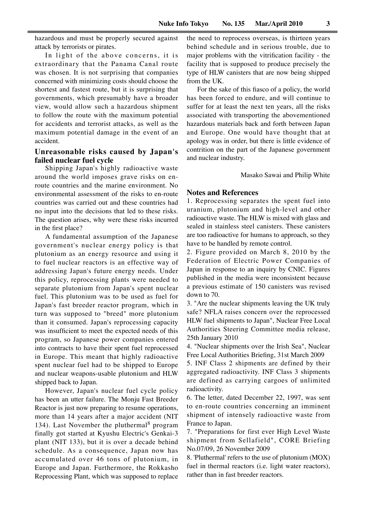hazardous and must be properly secured against attack by terrorists or pirates.

In light of the above concerns, it is extraordinary that the Panama Canal route was chosen. It is not surprising that companies concerned with minimizing costs should choose the shortest and fastest route, but it is surprising that governments, which presumably have a broader view, would allow such a hazardous shipment to follow the route with the maximum potential for accidents and terrorist attacks, as well as the maximum potential damage in the event of an accident.

## **Unreasonable risks caused by Japan's failed nuclear fuel cycle**

Shipping Japan's highly radioactive waste around the world imposes grave risks on enroute countries and the marine environment. No environmental assessment of the risks to en-route countries was carried out and these countries had no input into the decisions that led to these risks. The question arises, why were these risks incurred in the first place?

A fundamental assumption of the Japanese government's nuclear energy policy is that plutonium as an energy resource and using it to fuel nuclear reactors is an effective way of addressing Japan's future energy needs. Under this policy, reprocessing plants were needed to separate plutonium from Japan's spent nuclear fuel. This plutonium was to be used as fuel for Japan's fast breeder reactor program, which in turn was supposed to "breed" more plutonium than it consumed. Japan's reprocessing capacity was insufficient to meet the expected needs of this program, so Japanese power companies entered into contracts to have their spent fuel reprocessed in Europe. This meant that highly radioactive spent nuclear fuel had to be shipped to Europe and nuclear weapons-usable plutonium and HLW shipped back to Japan.

However, Japan's nuclear fuel cycle policy has been an utter failure. The Monju Fast Breeder Reactor is just now preparing to resume operations, more than 14 years after a major accident (NIT 134). Last November the pluthermal<sup>8</sup> program finally got started at Kyushu Electric's Genkai-3 plant (NIT 133), but it is over a decade behind schedule. As a consequence, Japan now has accumulated over 46 tons of plutonium, in Europe and Japan. Furthermore, the Rokkasho Reprocessing Plant, which was supposed to replace the need to reprocess overseas, is thirteen years behind schedule and in serious trouble, due to major problems with the vitrification facility - the facility that is supposed to produce precisely the type of HLW canisters that are now being shipped from the UK.

For the sake of this fiasco of a policy, the world has been forced to endure, and will continue to suffer for at least the next ten years, all the risks associated with transporting the abovementioned hazardous materials back and forth between Japan and Europe. One would have thought that at apology was in order, but there is little evidence of contrition on the part of the Japanese government and nuclear industry.

Masako Sawai and Philip White

#### **Notes and References**

1. Reprocessing separates the spent fuel into uranium, plutonium and high-level and other radioactive waste. The HLW is mixed with glass and sealed in stainless steel canisters. These canisters are too radioactive for humans to approach, so they have to be handled by remote control.

2. Figure provided on March 8, 2010 by the Federation of Electric Power Companies of Japan in response to an inquiry by CNIC. Figures published in the media were inconsistent because a previous estimate of 150 canisters was revised down to 70.

3. "Are the nuclear shipments leaving the UK truly safe? NFLA raises concern over the reprocessed HLW fuel shipments to Japan", Nuclear Free Local Authorities Steering Committee media release, 25th January 2010

4. "Nuclear shipments over the Irish Sea", Nuclear Free Local Authorities Briefing, 31st March 2009

5. INF Class 2 shipments are defined by their aggregated radioactivity. INF Class 3 shipments are defined as carrying cargoes of unlimited radioactivity.

6. The letter, dated December 22, 1997, was sent to en-route countries concerning an imminent shipment of intensely radioactive waste from France to Japan.

7. "Preparations for first ever High Level Waste shipment from Sellafield", CORE Briefing No.07/09, 26 November 2009

8. 'Pluthermal' refers to the use of plutonium (MOX) fuel in thermal reactors (i.e. light water reactors), rather than in fast breeder reactors.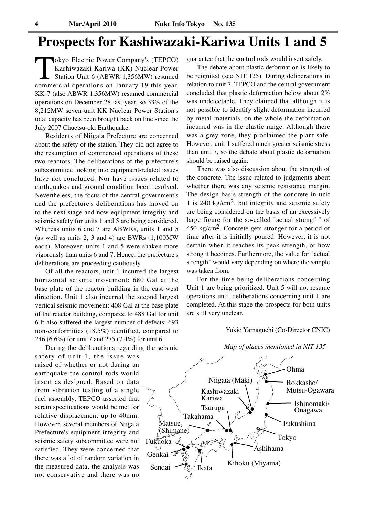# **Prospects for Kashiwazaki-Kariwa Units 1 and 5**

Tokyo Electric Power Company's (TEPCO)<br>Kashiwazaki-Kariwa (KK) Nuclear Power<br>Station Unit 6 (ABWR 1,356MW) resumed<br>commercial operations on January 19 this year. Kashiwazaki-Kariwa (KK) Nuclear Power Station Unit 6 (ABWR 1,356MW) resumed commercial operations on January 19 this year. KK-7 (also ABWR 1,356MW) resumed commercial operations on December 28 last year, so 33% of the 8,212MW seven-unit KK Nuclear Power Station's total capacity has been brought back on line since the July 2007 Chuetsu-oki Earthquake.

Residents of Niigata Prefecture are concerned about the safety of the station. They did not agree to the resumption of commercial operations of these two reactors. The deliberations of the prefecture's subcommittee looking into equipment-related issues have not concluded. Nor have issues related to earthquakes and ground condition been resolved. Nevertheless, the focus of the central government's and the prefecture's deliberations has moved on to the next stage and now equipment integrity and seismic safety for units 1 and 5 are being considered. Whereas units 6 and 7 are ABWRs, units 1 and 5 (as well as units 2, 3 and 4) are BWRs (1,100MW each). Moreover, units 1 and 5 were shaken more vigorously than units 6 and 7. Hence, the prefecture's deliberations are proceeding cautiously.

Of all the reactors, unit 1 incurred the largest horizontal seismic movement: 680 Gal at the base plate of the reactor building in the east-west direction. Unit 1 also incurred the second largest vertical seismic movement: 408 Gal at the base plate of the reactor building, compared to 488 Gal for unit 6.It also suffered the largest number of defects: 693 non-conformities (18.5%) identified, compared to 246 (6.6%) for unit 7 and 275 (7.4%) for unit 6.

During the deliberations regarding the seismic

safety of unit 1, the issue was raised of whether or not during an earthquake the control rods would insert as designed. Based on data from vibration testing of a single fuel assembly, TEPCO asserted that scram specifications would be met for relative displacement up to 40mm. However, several members of Niigata Prefecture's equipment integrity and seismic safety subcommittee were not satisfied. They were concerned that there was a lot of random variation in the measured data, the analysis was not conservative and there was no

guarantee that the control rods would insert safely.

The debate about plastic deformation is likely to be reignited (see NIT 125). During deliberations in relation to unit 7, TEPCO and the central government concluded that plastic deformation below about 2% was undetectable. They claimed that although it is not possible to identify slight deformation incurred by metal materials, on the whole the deformation incurred was in the elastic range. Although there was a grey zone, they proclaimed the plant safe. However, unit 1 suffered much greater seismic stress than unit 7, so the debate about plastic deformation should be raised again.

There was also discussion about the strength of the concrete. The issue related to judgments about whether there was any seismic resistance margin. The design basis strength of the concrete in unit 1 is 240 kg/cm<sup>2</sup>, but integrity and seismic safety are being considered on the basis of an excessively large figure for the so-called "actual strength" of 450 kg/cm2. Concrete gets stronger for a period of time after it is initially poured. However, it is not certain when it reaches its peak strength, or how strong it becomes. Furthermore, the value for "actual strength" would vary depending on where the sample was taken from.

For the time being deliberations concerning Unit 1 are being prioritized. Unit 5 will not resume operations until deliberations concerning unit 1 are completed. At this stage the prospects for both units are still very unclear.

#### Yukio Yamaguchi (Co-Director CNIC)



#### *Map of places mentioned in NIT 135*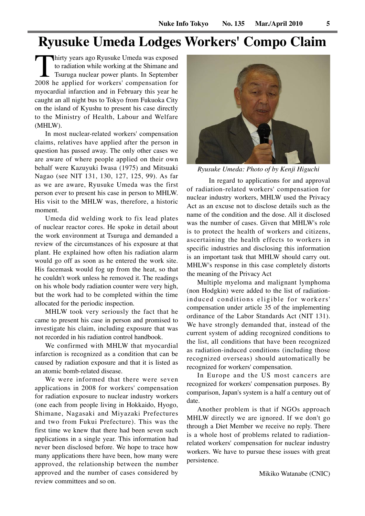# **Ryusuke Umeda Lodges Workers' Compo Claim**

Thirty years ago Ryusuke Umeda was exposed<br>to radiation while working at the Shimane and<br>Tsuruga nuclear power plants. In September<br>2008 he applied for workers' compensation for to radiation while working at the Shimane and Tsuruga nuclear power plants. In September myocardial infarction and in February this year he caught an all night bus to Tokyo from Fukuoka City on the island of Kyushu to present his case directly to the Ministry of Health, Labour and Welfare (MHLW).

In most nuclear-related workers' compensation claims, relatives have applied after the person in question has passed away. The only other cases we are aware of where people applied on their own behalf were Kazuyuki Iwasa (1975) and Mitsuaki Nagao (see NIT 131, 130, 127, 125, 99). As far as we are aware, Ryusuke Umeda was the first person ever to present his case in person to MHLW. His visit to the MHLW was, therefore, a historic moment.

Umeda did welding work to fix lead plates of nuclear reactor cores. He spoke in detail about the work environment at Tsuruga and demanded a review of the circumstances of his exposure at that plant. He explained how often his radiation alarm would go off as soon as he entered the work site. His facemask would fog up from the heat, so that he couldn't work unless he removed it. The readings on his whole body radiation counter were very high, but the work had to be completed within the time allocated for the periodic inspection.

MHLW took very seriously the fact that he came to present his case in person and promised to investigate his claim, including exposure that was not recorded in his radiation control handbook.

We confirmed with MHLW that myocardial infarction is recognized as a condition that can be caused by radiation exposure and that it is listed as an atomic bomb-related disease.

We were informed that there were seven applications in 2008 for workers' compensation for radiation exposure to nuclear industry workers (one each from people living in Hokkaido, Hyogo, Shimane, Nagasaki and Miyazaki Prefectures and two from Fukui Prefecture). This was the first time we knew that there had been seven such applications in a single year. This information had never been disclosed before. We hope to trace how many applications there have been, how many were approved, the relationship between the number approved and the number of cases considered by review committees and so on.



*Ryusuke Umeda: Photo of by Kenji Higuchi*

 In regard to applications for and approval of radiation-related workers' compensation for nuclear industry workers, MHLW used the Privacy Act as an excuse not to disclose details such as the name of the condition and the dose. All it disclosed was the number of cases. Given that MHLW's role is to protect the health of workers and citizens, ascertaining the health effects to workers in specific industries and disclosing this information is an important task that MHLW should carry out. MHLW's response in this case completely distorts the meaning of the Privacy Act

Multiple myeloma and malignant lymphoma (non Hodgkin) were added to the list of radiationinduced conditions eligible for workers' compensation under article 35 of the implementing ordinance of the Labor Standards Act (NIT 131). We have strongly demanded that, instead of the current system of adding recognized conditions to the list, all conditions that have been recognized as radiation-induced conditions (including those recognized overseas) should automatically be recognized for workers' compensation.

In Europe and the US most cancers are recognized for workers' compensation purposes. By comparison, Japan's system is a half a century out of date.

Another problem is that if NGOs approach MHLW directly we are ignored. If we don't go through a Diet Member we receive no reply. There is a whole host of problems related to radiationrelated workers' compensation for nuclear industry workers. We have to pursue these issues with great persistence.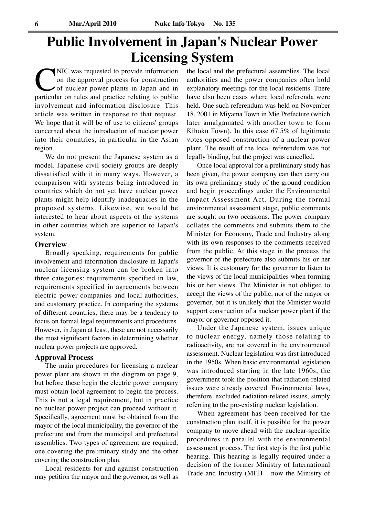# **Public Involvement in Japan's Nuclear Power Licensing System**

NIC was requested to provide information<br>on the approval process for construction<br>of nuclear power plants in Japan and in<br>particular on rules and practice relating to public on the approval process for construction of nuclear power plants in Japan and in particular on rules and practice relating to public involvement and information disclosure. This article was written in response to that request. We hope that it will be of use to citizens' groups concerned about the introduction of nuclear power into their countries, in particular in the Asian region.

We do not present the Japanese system as a model. Japanese civil society groups are deeply dissatisfied with it in many ways. However, a comparison with systems being introduced in countries which do not yet have nuclear power plants might help identify inadequacies in the proposed systems. Likewise, we would be interested to hear about aspects of the systems in other countries which are superior to Japan's system.

#### **Overview**

Broadly speaking, requirements for public involvement and information disclosure in Japan's nuclear licensing system can be broken into three categories: requirements specified in law, requirements specified in agreements between electric power companies and local authorities, and customary practice. In comparing the systems of different countries, there may be a tendency to focus on formal legal requirements and procedures. However, in Japan at least, these are not necessarily the most significant factors in determining whether nuclear power projects are approved.

#### **Approval Process**

The main procedures for licensing a nuclear power plant are shown in the diagram on page 9, but before these begin the electric power company must obtain local agreement to begin the process. This is not a legal requirement, but in practice no nuclear power project can proceed without it. Specifically, agreement must be obtained from the mayor of the local municipality, the governor of the prefecture and from the municipal and prefectural assemblies. Two types of agreement are required, one covering the preliminary study and the other covering the construction plan.

Local residents for and against construction may petition the mayor and the governor, as well as the local and the prefectural assemblies. The local authorities and the power companies often hold explanatory meetings for the local residents. There have also been cases where local referenda were held. One such referendum was held on November 18, 2001 in Miyama Town in Mie Prefecture (which later amalgamated with another town to form Kihoku Town). In this case 67.5% of legitimate votes opposed construction of a nuclear power plant. The result of the local referendum was not legally binding, but the project was cancelled.

Once local approval for a preliminary study has been given, the power company can then carry out its own preliminary study of the ground condition and begin proceedings under the Environmental Impact Assessment Act. During the formal environmental assessment stage, public comments are sought on two occasions. The power company collates the comments and submits them to the Minister for Economy, Trade and Industry along with its own responses to the comments received from the public. At this stage in the process the governor of the prefecture also submits his or her views. It is customary for the governor to listen to the views of the local municipalities when forming his or her views. The Minister is not obliged to accept the views of the public, nor of the mayor or governor, but it is unlikely that the Minister would support construction of a nuclear power plant if the mayor or governor opposed it.

Under the Japanese system, issues unique to nuclear energy, namely those relating to radioactivity, are not covered in the environmental assessment. Nuclear legislation was first introduced in the 1950s. When basic environmental legislation was introduced starting in the late 1960s, the government took the position that radiation-related issues were already covered. Environmental laws, therefore, excluded radiation-related issues, simply referring to the pre-existing nuclear legislation.

When agreement has been received for the construction plan itself, it is possible for the power company to move ahead with the nuclear-specific procedures in parallel with the environmental assessment process. The first step is the first public hearing. This hearing is legally required under a decision of the former Ministry of International Trade and Industry (MITI – now the Ministry of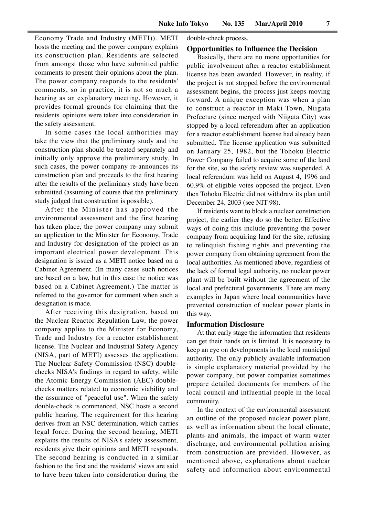double-check process.

Economy Trade and Industry (METI)). METI hosts the meeting and the power company explains its construction plan. Residents are selected from amongst those who have submitted public comments to present their opinions about the plan. The power company responds to the residents' comments, so in practice, it is not so much a hearing as an explanatory meeting. However, it provides formal grounds for claiming that the residents' opinions were taken into consideration in the safety assessment.

In some cases the local authorities may take the view that the preliminary study and the construction plan should be treated separately and initially only approve the preliminary study. In such cases, the power company re-announces its construction plan and proceeds to the first hearing after the results of the preliminary study have been submitted (assuming of course that the preliminary study judged that construction is possible).

After the Minister has approved the environmental assessment and the first hearing has taken place, the power company may submit an application to the Minister for Economy, Trade and Industry for designation of the project as an important electrical power development. This designation is issued as a METI notice based on a Cabinet Agreement. (In many cases such notices are based on a law, but in this case the notice was based on a Cabinet Agreement.) The matter is referred to the governor for comment when such a designation is made.

After receiving this designation, based on the Nuclear Reactor Regulation Law, the power company applies to the Minister for Economy, Trade and Industry for a reactor establishment license. The Nuclear and Industrial Safety Agency (NISA, part of METI) assesses the application. The Nuclear Safety Commission (NSC) doublechecks NISA's findings in regard to safety, while the Atomic Energy Commission (AEC) doublechecks matters related to economic viability and the assurance of "peaceful use". When the safety double-check is commenced, NSC hosts a second public hearing. The requirement for this hearing derives from an NSC determination, which carries legal force. During the second hearing, METI explains the results of NISA's safety assessment, residents give their opinions and METI responds. The second hearing is conducted in a similar fashion to the first and the residents' views are said to have been taken into consideration during the

## **Opportunities to Influence the Decision**

Basically, there are no more opportunities for public involvement after a reactor establishment license has been awarded. However, in reality, if the project is not stopped before the environmental assessment begins, the process just keeps moving forward. A unique exception was when a plan to construct a reactor in Maki Town, Niigata Prefecture (since merged with Niigata City) was stopped by a local referendum after an application for a reactor establishment license had already been submitted. The license application was submitted on January 25, 1982, but the Tohoku Electric Power Company failed to acquire some of the land for the site, so the safety review was suspended. A local referendum was held on August 4, 1996 and 60.9% of eligible votes opposed the project. Even then Tohoku Electric did not withdraw its plan until December 24, 2003 (see NIT 98).

If residents want to block a nuclear construction project, the earlier they do so the better. Effective ways of doing this include preventing the power company from acquiring land for the site, refusing to relinquish fishing rights and preventing the power company from obtaining agreement from the local authorities. As mentioned above, regardless of the lack of formal legal authority, no nuclear power plant will be built without the agreement of the local and prefectural governments. There are many examples in Japan where local communities have prevented construction of nuclear power plants in this way.

#### **Information Disclosure**

At that early stage the information that residents can get their hands on is limited. It is necessary to keep an eye on developments in the local municipal authority. The only publicly available information is simple explanatory material provided by the power company, but power companies sometimes prepare detailed documents for members of the local council and influential people in the local community.

In the context of the environmental assessment an outline of the proposed nuclear power plant, as well as information about the local climate, plants and animals, the impact of warm water discharge, and environmental pollution arising from construction are provided. However, as mentioned above, explanations about nuclear safety and information about environmental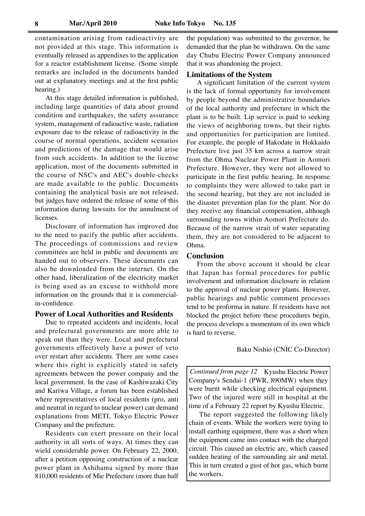contamination arising from radioactivity are not provided at this stage. This information is eventually released as appendixes to the application for a reactor establishment license. (Some simple remarks are included in the documents handed out at explanatory meetings and at the first public hearing.)

At this stage detailed information is published, including large quantities of data about ground condition and earthquakes, the safety assurance system, management of radioactive waste, radiation exposure due to the release of radioactivity in the course of normal operations, accident scenarios and predictions of the damage that would arise from such accidents. In addition to the license application, most of the documents submitted in the course of NSC's and AEC's double-checks are made available to the public. Documents containing the analytical basis are not released, but judges have ordered the release of some of this information during lawsuits for the annulment of licenses.

Disclosure of information has improved due to the need to pacify the public after accidents. The proceedings of commissions and review committees are held in public and documents are handed out to observers. These documents can also be downloaded from the internet. On the other hand, liberalization of the electricity market is being used as an excuse to withhold more information on the grounds that it is commercialin-confidence.

#### **Power of Local Authorities and Residents**

Due to repeated accidents and incidents, local and prefectural governments are more able to speak out than they were. Local and prefectural governments effectively have a power of veto over restart after accidents. There are some cases where this right is explicitly stated in safety agreements between the power company and the local government. In the case of Kashiwazaki City and Kariwa Village, a forum has been established where representatives of local residents (pro, anti and neutral in regard to nuclear power) can demand explanations from METI, Tokyo Electric Power Company and the prefecture.

Residents can exert pressure on their local authority in all sorts of ways. At times they can wield considerable power. On February 22, 2000, after a petition opposing construction of a nuclear power plant in Ashihama signed by more than 810,000 residents of Mie Prefecture (more than half the population) was submitted to the governor, he demanded that the plan be withdrawn. On the same day Chubu Electric Power Company announced that it was abandoning the project.

#### **Limitations of the System**

A significant limitation of the current system is the lack of formal opportunity for involvement by people beyond the administrative boundaries of the local authority and prefecture in which the plant is to be built. Lip service is paid to seeking the views of neighboring towns, but their rights and opportunities for participation are limited. For example, the people of Hakodate in Hokkaido Prefecture live just 35 km across a narrow strait from the Ohma Nuclear Power Plant in Aomori Prefecture. However, they were not allowed to participate in the first public hearing. In response to complaints they were allowed to take part in the second hearing, but they are not included in the disaster prevention plan for the plant. Nor do they receive any financial compensation, although surrounding towns within Aomori Prefecture do. Because of the narrow strait of water separating them, they are not considered to be adjacent to Ohma.

#### **Conclusion**

From the above account it should be clear that Japan has formal procedures for public involvement and information disclosure in relation to the approval of nuclear power plants. However, public hearings and public comment processes tend to be proforma in nature. If residents have not blocked the project before these procedures begin, the process develops a momentum of its own which is hard to reverse.

#### Baku Nishio (CNIC Co-Director)

*Continued from page 12* Kyushu Electric Power Company's Sendai-1 (PWR, 890MW) when they were burnt while checking electrical equipment. Two of the injured were still in hospital at the time of a February 22 report by Kyushu Electric.

The report suggested the following likely chain of events. While the workers were trying to install earthing equipment, there was a short when the equipment came into contact with the charged circuit. This caused an electric arc, which caused sudden heating of the surrounding air and metal. This in turn created a gust of hot gas, which burnt the workers.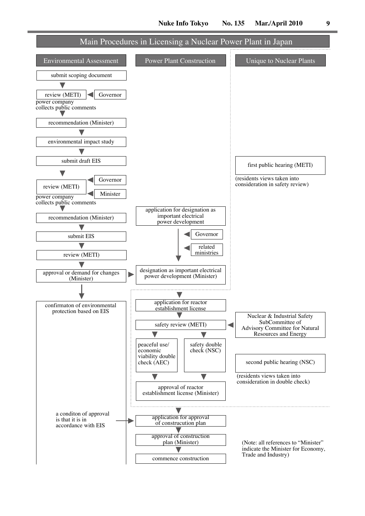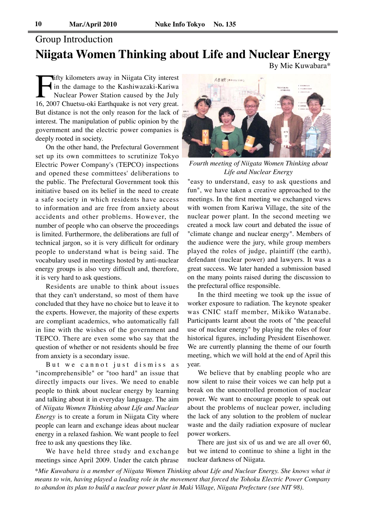# Group Introduction **Niigata Women Thinking about Life and Nuclear Energy**

By Mie Kuwabara\*

Ifty kilometers away in Niigata City interest<br>
in the damage to the Kashiwazaki-Kariwa<br>
Nuclear Power Station caused by the July<br>
16, 2007 Chuetsu-oki Earthquake is not very great. in the damage to the Kashiwazaki-Kariwa Nuclear Power Station caused by the July But distance is not the only reason for the lack of interest. The manipulation of public opinion by the government and the electric power companies is deeply rooted in society.

On the other hand, the Prefectural Government set up its own committees to scrutinize Tokyo Electric Power Company's (TEPCO) inspections and opened these committees' deliberations to the public. The Prefectural Government took this initiative based on its belief in the need to create a safe society in which residents have access to information and are free from anxiety about accidents and other problems. However, the number of people who can observe the proceedings is limited. Furthermore, the deliberations are full of technical jargon, so it is very difficult for ordinary people to understand what is being said. The vocabulary used in meetings hosted by anti-nuclear energy groups is also very difficult and, therefore, it is very hard to ask questions.

Residents are unable to think about issues that they can't understand, so most of them have concluded that they have no choice but to leave it to the experts. However, the majority of these experts are compliant academics, who automatically fall in line with the wishes of the government and TEPCO. There are even some who say that the question of whether or not residents should be free from anxiety is a secondary issue.

But we cannot just dismiss as "incomprehensible" or "too hard" an issue that directly impacts our lives. We need to enable people to think about nuclear energy by learning and talking about it in everyday language. The aim of *Niigata Women Thinking about Life and Nuclear Energy* is to create a forum in Niigata City where people can learn and exchange ideas about nuclear energy in a relaxed fashion. We want people to feel free to ask any questions they like.

We have held three study and exchange meetings since April 2009. Under the catch phrase



*Fourth meeting of Niigata Women Thinking about Life and Nuclear Energy*

"easy to understand, easy to ask questions and fun", we have taken a creative approached to the meetings. In the first meeting we exchanged views with women from Kariwa Village, the site of the nuclear power plant. In the second meeting we created a mock law court and debated the issue of "climate change and nuclear energy". Members of the audience were the jury, while group members played the roles of judge, plaintiff (the earth), defendant (nuclear power) and lawyers. It was a great success. We later handed a submission based on the many points raised during the discussion to the prefectural office responsible.

In the third meeting we took up the issue of worker exposure to radiation. The keynote speaker was CNIC staff member, Mikiko Watanabe. Participants learnt about the roots of "the peaceful use of nuclear energy" by playing the roles of four historical figures, including President Eisenhower. We are currently planning the theme of our fourth meeting, which we will hold at the end of April this year.

We believe that by enabling people who are now silent to raise their voices we can help put a break on the uncontrolled promotion of nuclear power. We want to encourage people to speak out about the problems of nuclear power, including the lack of any solution to the problem of nuclear waste and the daily radiation exposure of nuclear power workers.

There are just six of us and we are all over 60, but we intend to continue to shine a light in the nuclear darkness of Niigata.

*\*Mie Kuwabara is a member of Niigata Women Thinking about Life and Nuclear Energy. She knows what it means to win, having played a leading role in the movement that forced the Tohoku Electric Power Company to abandon its plan to build a nuclear power plant in Maki Village, Niigata Prefecture (see NIT 98).*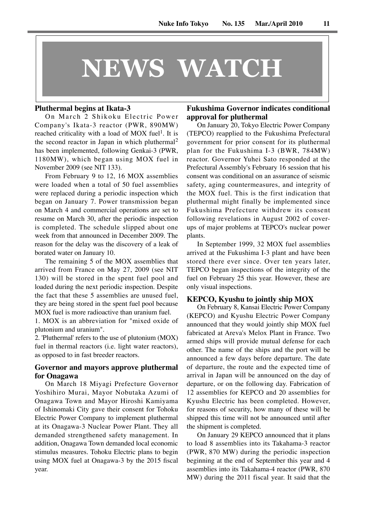# **NEWS WATCH**

#### **Pluthermal begins at Ikata-3**

On March 2 Shikoku Electric Power Company's Ikata-3 reactor (PWR, 890MW) reached criticality with a load of MOX fuel<sup>1</sup>. It is the second reactor in Japan in which pluthermal<sup>2</sup> has been implemented, following Genkai-3 (PWR, 1180MW), which began using MOX fuel in November 2009 (see NIT 133).

From February 9 to 12, 16 MOX assemblies were loaded when a total of 50 fuel assemblies were replaced during a periodic inspection which began on January 7. Power transmission began on March 4 and commercial operations are set to resume on March 30, after the periodic inspection is completed. The schedule slipped about one week from that announced in December 2009. The reason for the delay was the discovery of a leak of borated water on January 10.

The remaining 5 of the MOX assemblies that arrived from France on May 27, 2009 (see NIT 130) will be stored in the spent fuel pool and loaded during the next periodic inspection. Despite the fact that these 5 assemblies are unused fuel, they are being stored in the spent fuel pool because MOX fuel is more radioactive than uranium fuel.

1. MOX is an abbreviation for "mixed oxide of plutonium and uranium".

2. 'Pluthermal' refers to the use of plutonium (MOX) fuel in thermal reactors (i.e. light water reactors), as opposed to in fast breeder reactors.

#### **Governor and mayors approve pluthermal for Onagawa**

On March 18 Miyagi Prefecture Governor Yoshihiro Murai, Mayor Nobutaka Azumi of Onagawa Town and Mayor Hiroshi Kamiyama of Ishinomaki City gave their consent for Tohoku Electric Power Company to implement pluthermal at its Onagawa-3 Nuclear Power Plant. They all demanded strengthened safety management. In addition, Onagawa Town demanded local economic stimulus measures. Tohoku Electric plans to begin using MOX fuel at Onagawa-3 by the 2015 fiscal year.

### **Fukushima Governor indicates conditional approval for pluthermal**

On January 20, Tokyo Electric Power Company (TEPCO) reapplied to the Fukushima Prefectural government for prior consent for its pluthermal plan for the Fukushima I-3 (BWR, 784MW) reactor. Governor Yuhei Sato responded at the Prefectural Assembly's February 16 session that his consent was conditional on an assurance of seismic safety, aging countermeasures, and integrity of the MOX fuel. This is the first indication that pluthermal might finally be implemented since Fukushima Prefecture withdrew its consent following revelations in August 2002 of coverups of major problems at TEPCO's nuclear power plants.

In September 1999, 32 MOX fuel assemblies arrived at the Fukushima I-3 plant and have been stored there ever since. Over ten years later, TEPCO began inspections of the integrity of the fuel on February 25 this year. However, these are only visual inspections.

#### **KEPCO, Kyushu to jointly ship MOX**

On February 8, Kansai Electric Power Company (KEPCO) and Kyushu Electric Power Company announced that they would jointly ship MOX fuel fabricated at Areva's Melox Plant in France. Two armed ships will provide mutual defense for each other. The name of the ships and the port will be announced a few days before departure. The date of departure, the route and the expected time of arrival in Japan will be announced on the day of departure, or on the following day. Fabrication of 12 assemblies for KEPCO and 20 assemblies for Kyushu Electric has been completed. However, for reasons of security, how many of these will be shipped this time will not be announced until after the shipment is completed.

On January 29 KEPCO announced that it plans to load 8 assemblies into its Takahama-3 reactor (PWR, 870 MW) during the periodic inspection beginning at the end of September this year and 4 assemblies into its Takahama-4 reactor (PWR, 870 MW) during the 2011 fiscal year. It said that the